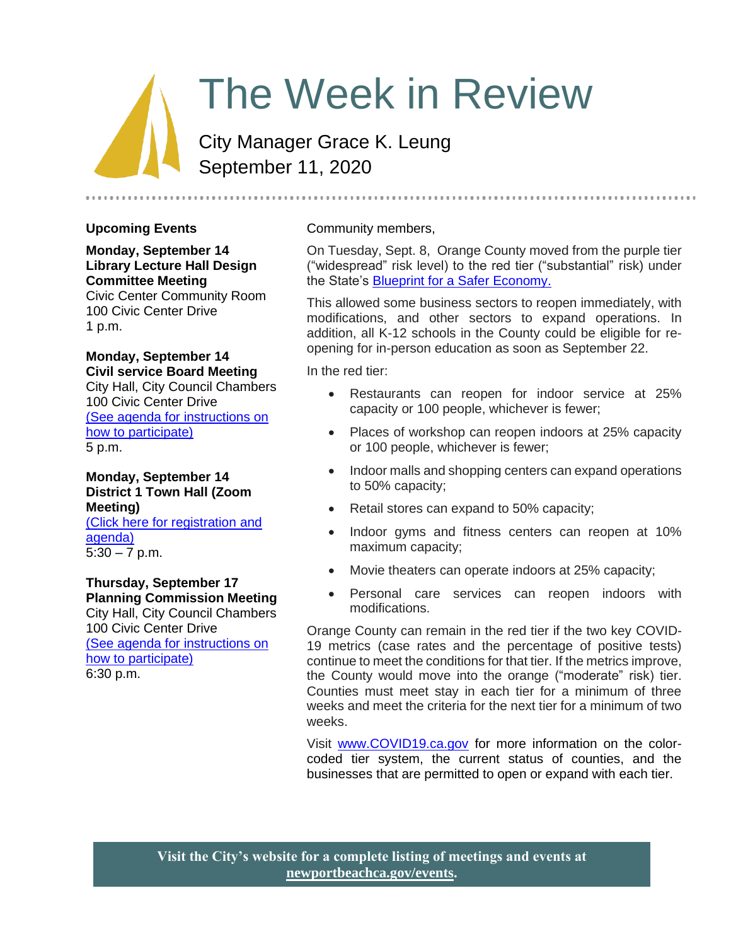# The Week in Review

City Manager Grace K. Leung September 11, 2020

# **Upcoming Events**

**Monday, September 14 Library Lecture Hall Design Committee Meeting** Civic Center Community Room

100 Civic Center Drive 1 p.m.

# **Monday, September 14**

**Civil service Board Meeting** City Hall, City Council Chambers 100 Civic Center Drive [\(See agenda for instructions on](https://newportbeachca.gov/Home/Components/Calendar/Event/61364/72)  [how to participate\)](https://newportbeachca.gov/Home/Components/Calendar/Event/61364/72) 5 p.m.

**Monday, September 14 District 1 Town Hall (Zoom Meeting)** [\(Click here for registration](https://newportbeachca.gov/Home/Components/Calendar/Event/64239/72) and [agenda\)](https://newportbeachca.gov/Home/Components/Calendar/Event/64239/72)  $5:30 - 7$  p.m.

**Thursday, September 17 Planning Commission Meeting** City Hall, City Council Chambers 100 Civic Center Drive [\(See agenda for instructions on](https://newportbeachca.gov/Home/Components/Calendar/Event/60119/72)  [how to participate\)](https://newportbeachca.gov/Home/Components/Calendar/Event/60119/72) 6:30 p.m.

# Community members,

On Tuesday, Sept. 8, Orange County moved from the purple tier ("widespread" risk level) to the red tier ("substantial" risk) under the State's [Blueprint for a Safer Economy.](https://covid19.ca.gov/safer-economy/)

This allowed some business sectors to reopen immediately, with modifications, and other sectors to expand operations. In addition, all K-12 schools in the County could be eligible for reopening for in-person education as soon as September 22.

In the red tier:

- Restaurants can reopen for indoor service at 25% capacity or 100 people, whichever is fewer;
- Places of workshop can reopen indoors at 25% capacity or 100 people, whichever is fewer;
- Indoor malls and shopping centers can expand operations to 50% capacity;
- Retail stores can expand to 50% capacity;
- Indoor gyms and fitness centers can reopen at 10% maximum capacity;
- Movie theaters can operate indoors at 25% capacity;
- Personal care services can reopen indoors with modifications.

Orange County can remain in the red tier if the two key COVID-19 metrics (case rates and the percentage of positive tests) continue to meet the conditions for that tier. If the metrics improve, the County would move into the orange ("moderate" risk) tier. Counties must meet stay in each tier for a minimum of three weeks and meet the criteria for the next tier for a minimum of two weeks.

Visit [www.COVID19.ca.gov](http://www.covid19.ca.gov/) for more information on the colorcoded tier system, the current status of counties, and the businesses that are permitted to open or expand with each tier.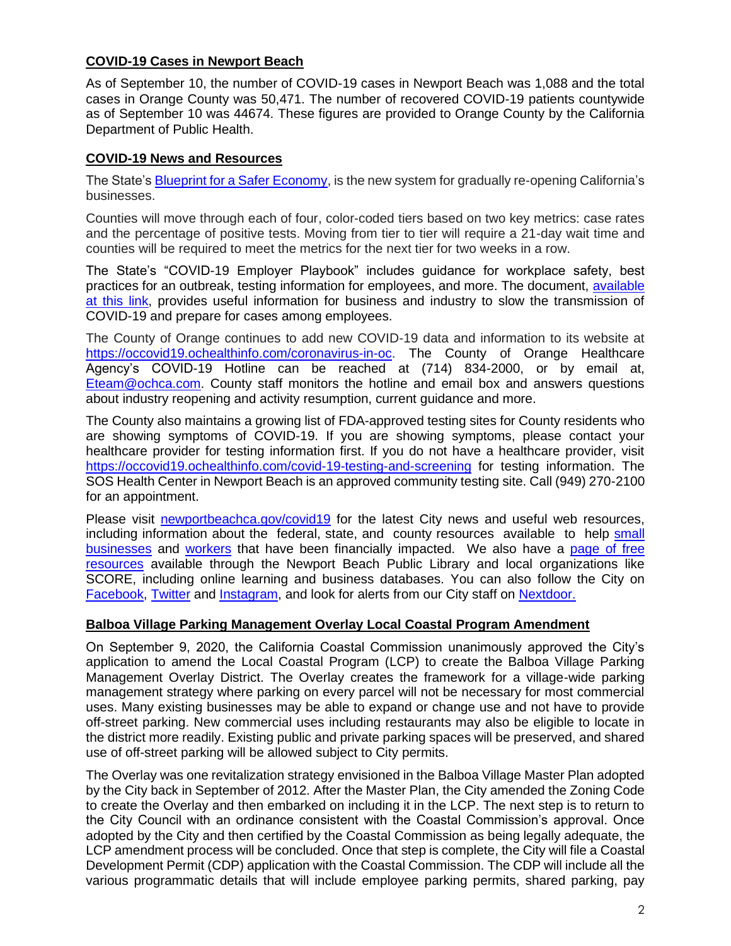#### **COVID-19 Cases in Newport Beach**

As of September 10, the number of COVID-19 cases in Newport Beach was 1,088 and the total cases in Orange County was 50,471. The number of recovered COVID-19 patients countywide as of September 10 was 44674. These figures are provided to Orange County by the California Department of Public Health.

# **COVID-19 News and Resources**

The State'[s Blueprint for a Safer Economy,](https://covid19.ca.gov/safer-economy/) is the new system for gradually re-opening California's businesses.

Counties will move through each of four, color-coded tiers based on two key metrics: case rates and the percentage of positive tests. Moving from tier to tier will require a 21-day wait time and counties will be required to meet the metrics for the next tier for two weeks in a row.

The State's "COVID-19 Employer Playbook" includes guidance for workplace safety, best practices for an outbreak, testing information for employees, and more. The document, [available](https://files.covid19.ca.gov/pdf/employer-playbook-for-safe-reopening--en.pdf)  [at this link,](https://files.covid19.ca.gov/pdf/employer-playbook-for-safe-reopening--en.pdf) provides useful information for business and industry to slow the transmission of COVID-19 and prepare for cases among employees.

The County of Orange continues to add new COVID-19 data and information to its website at [https://occovid19.ochealthinfo.com/coronavirus-in-oc.](https://occovid19.ochealthinfo.com/coronavirus-in-oc) The County of Orange Healthcare Agency's COVID-19 Hotline can be reached at (714) 834-2000, or by email at, [Eteam@ochca.com.](mailto:Eteam@ochca.com) County staff monitors the hotline and email box and answers questions about industry reopening and activity resumption, current guidance and more.

The County also maintains a growing list of FDA-approved testing sites for County residents who are showing symptoms of COVID-19. If you are showing symptoms, please contact your healthcare provider for testing information first. If you do not have a healthcare provider, visit <https://occovid19.ochealthinfo.com/covid-19-testing-and-screening> for testing information. The SOS Health Center in Newport Beach is an approved community testing site. Call (949) 270-2100 for an appointment.

Please visit [newportbeachca.gov/covid19](https://www.newportbeachca.gov/how-do-i/find/disaster-preparedness-information/disease-outbreak/-fsiteid-1) for the latest City news and useful web resources, including information about the federal, state, and county resources available to help [small](https://www.newportbeachca.gov/government/departments/city-manager/economic-development/small-business-support)  [businesses](https://www.newportbeachca.gov/government/departments/city-manager/economic-development/small-business-support) and [workers](https://www.newportbeachca.gov/government/departments/city-manager/economic-development/support-for-employees) that have been financially impacted. We also have a page of free [resources](https://www.newportbeachca.gov/government/departments/city-manager/economic-development/small-business-support/business-employee-resources) available through the Newport Beach Public Library and local organizations like SCORE, including online learning and business databases. You can also follow the City on [Facebook,](https://www.facebook.com/pg/CityofNewportBeach) [Twitter](https://twitter.com/newportbeachgov) and [Instagram,](https://www.instagram.com/cityofnewportbeach/) and look for alerts from our City staff on [Nextdoor.](https://nextdoor.com/agency/city-of-newport-beach/?i=ltdytbjdbdkntfqttgcm)

# **Balboa Village Parking Management Overlay Local Coastal Program Amendment**

On September 9, 2020, the California Coastal Commission unanimously approved the City's application to amend the Local Coastal Program (LCP) to create the Balboa Village Parking Management Overlay District. The Overlay creates the framework for a village-wide parking management strategy where parking on every parcel will not be necessary for most commercial uses. Many existing businesses may be able to expand or change use and not have to provide off-street parking. New commercial uses including restaurants may also be eligible to locate in the district more readily. Existing public and private parking spaces will be preserved, and shared use of off-street parking will be allowed subject to City permits.

The Overlay was one revitalization strategy envisioned in the Balboa Village Master Plan adopted by the City back in September of 2012. After the Master Plan, the City amended the Zoning Code to create the Overlay and then embarked on including it in the LCP. The next step is to return to the City Council with an ordinance consistent with the Coastal Commission's approval. Once adopted by the City and then certified by the Coastal Commission as being legally adequate, the LCP amendment process will be concluded. Once that step is complete, the City will file a Coastal Development Permit (CDP) application with the Coastal Commission. The CDP will include all the various programmatic details that will include employee parking permits, shared parking, pay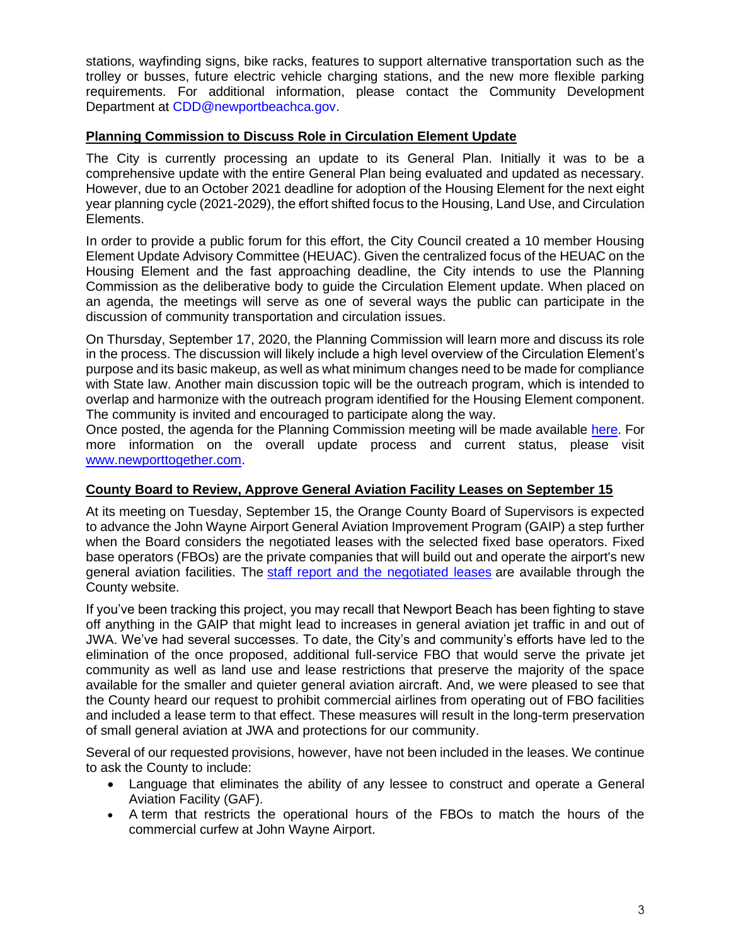stations, wayfinding signs, bike racks, features to support alternative transportation such as the trolley or busses, future electric vehicle charging stations, and the new more flexible parking requirements. For additional information, please contact the Community Development Department at [CDD@newportbeachca.gov.](mailto:CDD@newportbeachca.gov)

#### **Planning Commission to Discuss Role in Circulation Element Update**

The City is currently processing an update to its General Plan. Initially it was to be a comprehensive update with the entire General Plan being evaluated and updated as necessary. However, due to an October 2021 deadline for adoption of the Housing Element for the next eight year planning cycle (2021-2029), the effort shifted focus to the Housing, Land Use, and Circulation Elements.

In order to provide a public forum for this effort, the City Council created a 10 member Housing Element Update Advisory Committee (HEUAC). Given the centralized focus of the HEUAC on the Housing Element and the fast approaching deadline, the City intends to use the Planning Commission as the deliberative body to guide the Circulation Element update. When placed on an agenda, the meetings will serve as one of several ways the public can participate in the discussion of community transportation and circulation issues.

On Thursday, September 17, 2020, the Planning Commission will learn more and discuss its role in the process. The discussion will likely include a high level overview of the Circulation Element's purpose and its basic makeup, as well as what minimum changes need to be made for compliance with State law. Another main discussion topic will be the outreach program, which is intended to overlap and harmonize with the outreach program identified for the Housing Element component. The community is invited and encouraged to participate along the way.

Once posted, the agenda for the Planning Commission meeting will be made available [here.](https://www.newportbeachca.gov/PLN/planning_commission/current_agenda.pdf) For more information on the overall update process and current status, please visit [www.newporttogether.com.](http://www.newporttogether.com/)

# **County Board to Review, Approve General Aviation Facility Leases on September 15**

At its meeting on Tuesday, September 15, the Orange County Board of Supervisors is expected to advance the John Wayne Airport General Aviation Improvement Program (GAIP) a step further when the Board considers the negotiated leases with the selected fixed base operators. Fixed base operators (FBOs) are the private companies that will build out and operate the airport's new general aviation facilities. The [staff report and the negotiated leases](https://board.ocgov.com/sites/bos.egovoc.com/files/2020-09/rev-sup09152020.pdf) are available through the County website.

If you've been tracking this project, you may recall that Newport Beach has been fighting to stave off anything in the GAIP that might lead to increases in general aviation jet traffic in and out of JWA. We've had several successes. To date, the City's and community's efforts have led to the elimination of the once proposed, additional full-service FBO that would serve the private jet community as well as land use and lease restrictions that preserve the majority of the space available for the smaller and quieter general aviation aircraft. And, we were pleased to see that the County heard our request to prohibit commercial airlines from operating out of FBO facilities and included a lease term to that effect. These measures will result in the long-term preservation of small general aviation at JWA and protections for our community.

Several of our requested provisions, however, have not been included in the leases. We continue to ask the County to include:

- Language that eliminates the ability of any lessee to construct and operate a General Aviation Facility (GAF).
- A term that restricts the operational hours of the FBOs to match the hours of the commercial curfew at John Wayne Airport.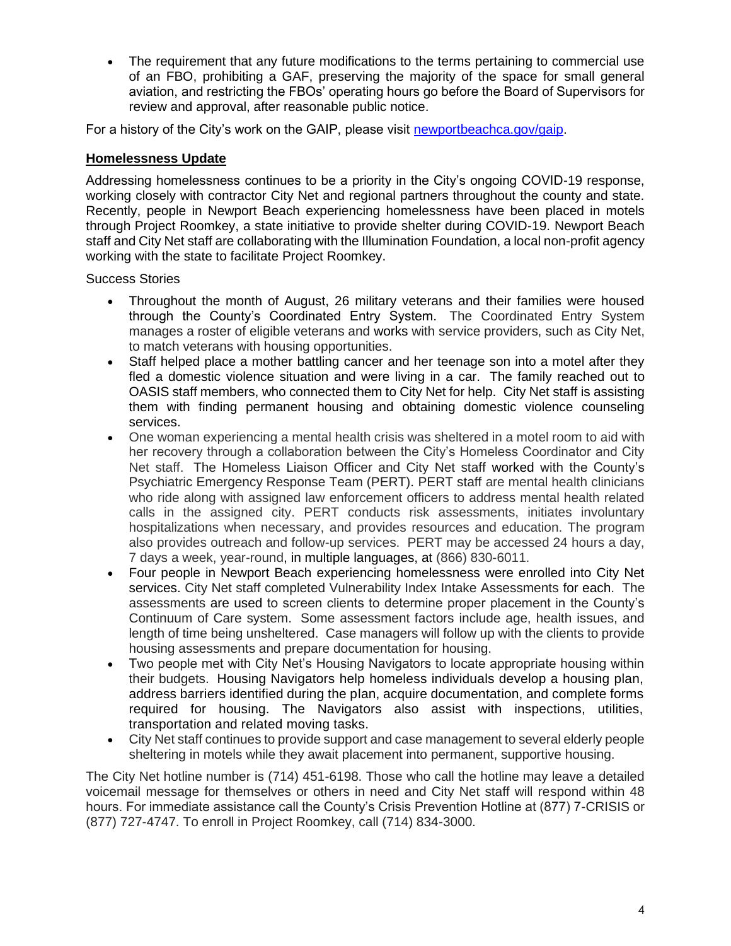The requirement that any future modifications to the terms pertaining to commercial use of an FBO, prohibiting a GAF, preserving the majority of the space for small general aviation, and restricting the FBOs' operating hours go before the Board of Supervisors for review and approval, after reasonable public notice.

For a history of the City's work on the GAIP, please visit [newportbeachca.gov/gaip.](https://www.newportbeachca.gov/government/departments/city-manager/john-wayne-airport/jwa-general-aviation-improvement-program)

#### **Homelessness Update**

Addressing homelessness continues to be a priority in the City's ongoing COVID-19 response, working closely with contractor City Net and regional partners throughout the county and state. Recently, people in Newport Beach experiencing homelessness have been placed in motels through Project Roomkey, a state initiative to provide shelter during COVID-19. Newport Beach staff and City Net staff are collaborating with the Illumination Foundation, a local non-profit agency working with the state to facilitate Project Roomkey.

Success Stories

- Throughout the month of August, 26 military veterans and their families were housed through the County's Coordinated Entry System. The Coordinated Entry System manages a roster of eligible veterans and works with service providers, such as City Net, to match veterans with housing opportunities.
- Staff helped place a mother battling cancer and her teenage son into a motel after they fled a domestic violence situation and were living in a car. The family reached out to OASIS staff members, who connected them to City Net for help. City Net staff is assisting them with finding permanent housing and obtaining domestic violence counseling services.
- One woman experiencing a mental health crisis was sheltered in a motel room to aid with her recovery through a collaboration between the City's Homeless Coordinator and City Net staff. The Homeless Liaison Officer and City Net staff worked with the County's Psychiatric Emergency Response Team (PERT). PERT staff are mental health clinicians who ride along with assigned law enforcement officers to address mental health related calls in the assigned city. PERT conducts risk assessments, initiates involuntary hospitalizations when necessary, and provides resources and education. The program also provides outreach and follow-up services. PERT may be accessed 24 hours a day, 7 days a week, year-round, in multiple languages, at (866) 830-6011.
- Four people in Newport Beach experiencing homelessness were enrolled into City Net services. City Net staff completed Vulnerability Index Intake Assessments for each. The assessments are used to screen clients to determine proper placement in the County's Continuum of Care system. Some assessment factors include age, health issues, and length of time being unsheltered. Case managers will follow up with the clients to provide housing assessments and prepare documentation for housing.
- Two people met with City Net's Housing Navigators to locate appropriate housing within their budgets. Housing Navigators help homeless individuals develop a housing plan, address barriers identified during the plan, acquire documentation, and complete forms required for housing. The Navigators also assist with inspections, utilities, transportation and related moving tasks.
- City Net staff continues to provide support and case management to several elderly people sheltering in motels while they await placement into permanent, supportive housing.

The City Net hotline number is (714) 451-6198. Those who call the hotline may leave a detailed voicemail message for themselves or others in need and City Net staff will respond within 48 hours. For immediate assistance call the County's Crisis Prevention Hotline at (877) 7-CRISIS or (877) 727-4747. To enroll in Project Roomkey, call (714) 834-3000.